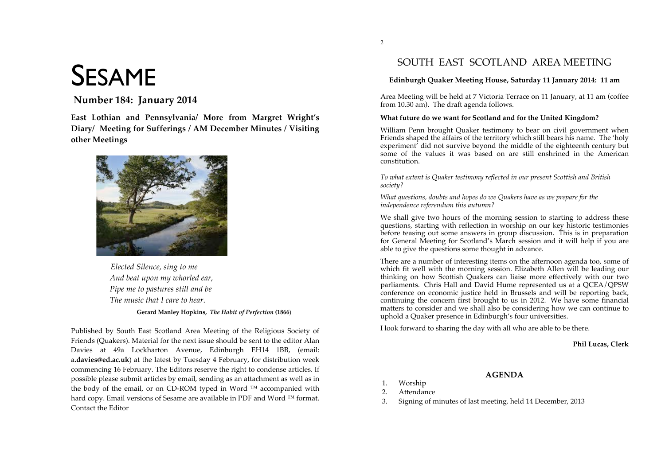# SESAME

# **Number 184: January 2014**

East Lothian and Pennsylvania/ More from Margret Wright's **C**Biary/ Meeting for Sufferings / AM December Minutes / Visiting **6ther Meetings** 



 $B$ *lected Silence, sing to me And beat upon my whorled ear, Pipe me to pastures still and be The music that I care to hear.* 

#### Gerard Manley Hopkins, The Habit of Perfection (1866)

Published by South East Scotland Area Meeting of the Religious Society of Friends (Ouakers). Material for the next issue should be sent to the editor Alan Davies at 49a Lockharton Avenue, Edinburgh EH14 1BB, (email: a.davies@ed.ac.uk) at the latest by Tuesday 4 February, for distribution week commencing 16 February. The Editors reserve the right to condense articles. If possible please submit articles by email, sending as an attachment as well as in the body of the email, or on CD-ROM typed in Word  $TM$  accompanied with hard copy. Email versions of Sesame are available in PDF and Word  $TM$  format. Contact the Editor

# SOUTH EAST SCOTLAND AREA MEETING

#### **Edinburgh Quaker Meeting House, Saturday 11 January 2014: 11 am**

Area Meeting will be held at 7 Victoria Terrace on 11 January, at 11 am (coffee from 10.30 am). The draft agenda follows.

#### **What future do we want for Scotland and for the United Kingdom?**

William Penn brought Quaker testimony to bear on civil government when Friends shaped the affairs of the territory which still bears his name. The 'holy experiment<sup>'</sup> did not survive beyond the middle of the eighteenth century but some of the values it was based on are still enshrined in the American constitution.

*To what extent is Quaker testimony reflected in our present Scottish and British society?*

*What questions, doubts and hopes do we Quakers have as we prepare for the independence referendum this autumn?*

We shall give two hours of the morning session to starting to address these questions, starting with reflection in worship on our key historic testimonies before teasing out some answers in group discussion. This is in preparation for General Meeting for Scotland's March session and it will help if you are able to give the questions some thought in advance.

There are a number of interesting items on the afternoon agenda too, some of which fit well with the morning session. Elizabeth Allen will be leading our thinking on how Scottish Quakers can liaise more effectively with our two parliaments. Chris Hall and David Hume represented us at a QCEA/QPSW conference on economic justice held in Brussels and will be reporting back, continuing the concern first brought to us in 2012. We have some financial matters to consider and we shall also be considering how we can continue to uphold a Quaker presence in Edinburgh's four universities.

**AGENDA** 

I look forward to sharing the day with all who are able to be there.

#### **Phil Lucas, Clerk**

- 1. Worship
- 2. Attendance
- 3. Signing of minutes of last meeting, held 14 December, 2013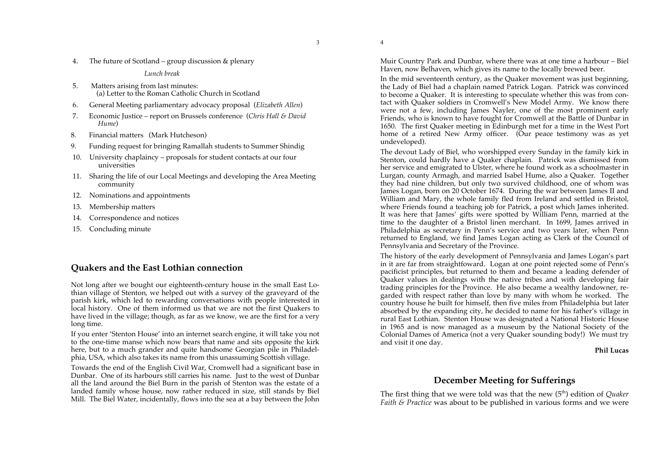3

4. The future of Scotland – group discussion & plenary

*Lunch break*

- 5. Matters arising from last minutes: (a) Letter to the Roman Catholic Church in Scotland
- 6. General Meeting parliamentary advocacy proposal (*Elizabeth Allen*)
- 7. Economic Justice report on Brussels conference (*Chris Hall & David Hume*)
- 8. Financial matters (Mark Hutcheson)
- 9. Funding request for bringing Ramallah students to Summer Shindig
- 10. University chaplaincy proposals for student contacts at our four universities
- 11. Sharing the life of our Local Meetings and developing the Area Meeting community
- 12. Nominations and appointments
- 13. Membership matters
- 14. Correspondence and notices
- 15. Concluding minute

# **Quakers and the East Lothian connection**

Not long after we bought our eighteenth-century house in the small East Lothian village of Stenton, we helped out with a survey of the graveyard of the parish kirk, which led to rewarding conversations with people interested in local history. One of them informed us that we are not the first Quakers to have lived in the village; though, as far as we know, we are the first for a very long time.

If you enter 'Stenton House' into an internet search engine, it will take you not to the one-time manse which now bears that name and sits opposite the kirk here, but to a much grander and quite handsome Georgian pile in Philadelphia, USA, which also takes its name from this unassuming Scottish village.

Towards the end of the English Civil War, Cromwell had a significant base in Dunbar. One of its harbours still carries his name. Just to the west of Dunbar all the land around the Biel Burn in the parish of Stenton was the estate of a landed family whose house, now rather reduced in size, still stands by Biel Mill. The Biel Water, incidentally, flows into the sea at a bay between the John Muir Country Park and Dunbar, where there was at one time a harbour – Biel Haven, now Belhaven, which gives its name to the locally brewed beer.

In the mid seventeenth century, as the Quaker movement was just beginning, the Lady of Biel had a chaplain named Patrick Logan. Patrick was convinced to become a Quaker. It is interesting to speculate whether this was from contact with Quaker soldiers in Cromwell's New Model Army. We know there were not a few, including James Nayler, one of the most prominent early Friends, who is known to have fought for Cromwell at the Battle of Dunbar in 1650. The first Quaker meeting in Edinburgh met for a time in the West Port home of a retired New Army officer. (Our peace testimony was as yet undeveloped).

The devout Lady of Biel, who worshipped every Sunday in the family kirk in Stenton, could hardly have a Quaker chaplain. Patrick was dismissed from her service and emigrated to Ulster, where he found work as a schoolmaster in Lurgan, county Armagh, and married Isabel Hume, also a Quaker. Together they had nine children, but only two survived childhood, one of whom was James Logan, born on 20 October 1674. During the war between James II and William and Mary, the whole family fled from Ireland and settled in Bristol, where Friends found a teaching job for Patrick, a post which James inherited. It was here that James' gifts were spotted by William Penn, married at the time to the daughter of a Bristol linen merchant. In 1699, James arrived in Philadelphia as secretary in Penn's service and two years later, when Penn returned to England, we find James Logan acting as Clerk of the Council of Pennsylvania and Secretary of the Province.

The history of the early development of Pennsylvania and James Logan's part in it are far from straightfoward. Logan at one point rejected some of Penn's pacificist principles, but returned to them and became a leading defender of Quaker values in dealings with the native tribes and with developing fair trading principles for the Province. He also became a wealthy landowner, regarded with respect rather than love by many with whom he worked. The country house he built for himself, then five miles from Philadelphia but later absorbed by the expanding city, he decided to name for his father's village in rural East Lothian. Stenton House was designated a National Historic House in 1965 and is now managed as a museum by the National Society of the Colonial Dames of America (not a very Quaker sounding body!) We must try and visit it one day.

**Phil Lucas**

# **December Meeting for Sufferings**

The first thing that we were told was that the new (5<sup>th</sup>) edition of *Quaker Faith & Practice* was about to be published in various forms and we were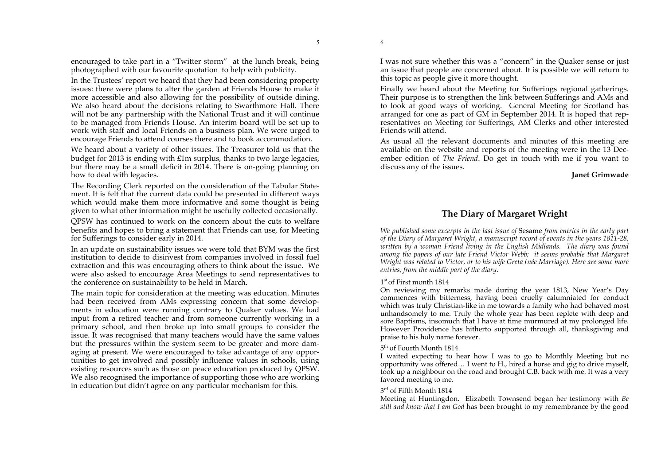encouraged to take part in a "Twitter storm" at the lunch break, being photographed with our favourite quotation to help with publicity.

In the Trustees' report we heard that they had been considering property issues: there were plans to alter the garden at Friends House to make it more accessible and also allowing for the possibility of outside dining. We also heard about the decisions relating to Swarthmore Hall. There will not be any partnership with the National Trust and it will continue to be managed from Friends House. An interim board will be set up to work with staff and local Friends on a business plan. We were urged to encourage Friends to attend courses there and to book accommodation.

We heard about a variety of other issues. The Treasurer told us that the budget for 2013 is ending with £1m surplus, thanks to two large legacies, but there may be a small deficit in 2014. There is on-going planning on how to deal with legacies.

The Recording Clerk reported on the consideration of the Tabular Statement. It is felt that the current data could be presented in different ways which would make them more informative and some thought is being given to what other information might be usefully collected occasionally.

QPSW has continued to work on the concern about the cuts to welfare benefits and hopes to bring a statement that Friends can use, for Meeting for Sufferings to consider early in 2014.

In an update on sustainability issues we were told that BYM was the first institution to decide to disinvest from companies involved in fossil fuel extraction and this was encouraging others to think about the issue. We were also asked to encourage Area Meetings to send representatives to the conference on sustainability to be held in March.

The main topic for consideration at the meeting was education. Minutes had been received from AMs expressing concern that some developments in education were running contrary to Quaker values. We had input from a retired teacher and from someone currently working in a primary school, and then broke up into small groups to consider the issue. It was recognised that many teachers would have the same values but the pressures within the system seem to be greater and more damaging at present. We were encouraged to take advantage of any opportunities to get involved and possibly influence values in schools, using existing resources such as those on peace education produced by QPSW. We also recognised the importance of supporting those who are working in education but didn't agree on any particular mechanism for this.

I was not sure whether this was a "concern" in the Quaker sense or just an issue that people are concerned about. It is possible we will return to this topic as people give it more thought.

Finally we heard about the Meeting for Sufferings regional gatherings. Their purpose is to strengthen the link between Sufferings and AMs and to look at good ways of working. General Meeting for Scotland has arranged for one as part of GM in September 2014. It is hoped that representatives on Meeting for Sufferings, AM Clerks and other interested Friends will attend.

As usual all the relevant documents and minutes of this meeting are available on the website and reports of the meeting were in the 13 December edition of *The Friend*. Do get in touch with me if you want to discuss any of the issues.

#### **Janet Grimwade**

# **The Diary of Margaret Wright**

*We published some excerpts in the last issue of* Sesame *from entries in the early part of the Diary of Margaret Wright, a manuscript record of events in the years 1811-28,* written by a woman Friend living in the English Midlands. The diary was found *among the papers of our late Friend Victor Webb; it seems probable that Margaret Wright was related to Victor, or to his wife Greta (née Marriage). Here are some more entries, from the middle part of the diary*.

#### 1st of First month 1814

On reviewing my remarks made during the year 1813, New Year's Day commences with bitterness, having been cruelly calumniated for conduct which was truly Christian-like in me towards a family who had behaved most unhandsomely to me. Truly the whole year has been replete with deep and sore Baptisms, insomuch that I have at time murmured at my prolonged life. However Providence has hitherto supported through all, thanksgiving and praise to his holy name forever.

#### 5th of Fourth Month 1814

I waited expecting to hear how I was to go to Monthly Meeting but no opportunity was offered… I went to H., hired a horse and gig to drive myself, took up a neighbour on the road and brought C.B. back with me. It was a very favored meeting to me.

#### 3rd of Fifth Month 1814

Meeting at Huntingdon. Elizabeth Townsend began her testimony with *Be still and know that I am God* has been brought to my remembrance by the good

5

6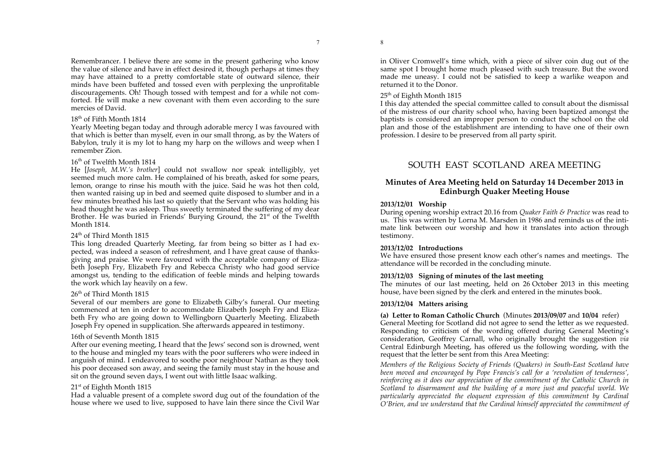Remembrancer. I believe there are some in the present gathering who know the value of silence and have in effect desired it, though perhaps at times they may have attained to a pretty comfortable state of outward silence, their minds have been buffeted and tossed even with perplexing the unprofitable discouragements. Oh! Though tossed with tempest and for a while not comforted. He will make a new covenant with them even according to the sure mercies of David.

#### 18th of Fifth Month 1814

Yearly Meeting began today and through adorable mercy I was favoured with that which is better than myself, even in our small throng, as by the Waters of Babylon, truly it is my lot to hang my harp on the willows and weep when I remember Zion.

### 16<sup>th</sup> of Twelfth Month 1814

He [*Joseph, M.W.'s brother*] could not swallow nor speak intelligibly, yet seemed much more calm. He complained of his breath, asked for some pears, lemon, orange to rinse his mouth with the juice. Said he was hot then cold, then wanted raising up in bed and seemed quite disposed to slumber and in a few minutes breathed his last so quietly that the Servant who was holding his head thought he was asleep. Thus sweetly terminated the suffering of my dear Brother. He was buried in Friends' Burying Ground, the 21<sup>st</sup> of the Twelfth Month 1814.

#### 24<sup>th</sup> of Third Month 1815

This long dreaded Quarterly Meeting, far from being so bitter as I had expected, was indeed a season of refreshment, and I have great cause of thanksgiving and praise. We were favoured with the acceptable company of Elizabeth Joseph Fry, Elizabeth Fry and Rebecca Christy who had good service amongst us, tending to the edification of feeble minds and helping towards the work which lay heavily on a few.

### 26<sup>th</sup> of Third Month 1815

Several of our members are gone to Elizabeth Gilby's funeral. Our meeting commenced at ten in order to accommodate Elizabeth Joseph Fry and Elizabeth Fry who are going down to Wellingborn Quarterly Meeting. Elizabeth Joseph Fry opened in supplication. She afterwards appeared in testimony.

### 16th of Seventh Month 1815

After our evening meeting, I heard that the Jews' second son is drowned, went to the house and mingled my tears with the poor sufferers who were indeed in anguish of mind. I endeavored to soothe poor neighbour Nathan as they took his poor deceased son away, and seeing the family must stay in the house and sit on the ground seven days, I went out with little Isaac walking.

### 21st of Eighth Month 1815

Had a valuable present of a complete sword dug out of the foundation of the house where we used to live, supposed to have lain there since the Civil War

in Oliver Cromwell's time which, with a piece of silver coin dug out of the same spot I brought home much pleased with such treasure. But the sword made me uneasy. I could not be satisfied to keep a warlike weapon and returned it to the Donor.

### 25<sup>th</sup> of Eighth Month 1815

I this day attended the special committee called to consult about the dismissal of the mistress of our charity school who, having been baptized amongst the baptists is considered an improper person to conduct the school on the old plan and those of the establishment are intending to have one of their own profession. I desire to be preserved from all party spirit.

# SOUTH EAST SCOTLAND AREA MEETING

## **Minutes of Area Meeting held on Saturday 14 December 2013 in Edinburgh Quaker Meeting House**

#### **2013/12/01 Worship**

During opening worship extract 20.16 from *Quaker Faith & Practice* was read to us. This was written by Lorna M. Marsden in 1986 and reminds us of the intimate link between our worship and how it translates into action through testimony.

#### **2013/12/02 Introductions**

We have ensured those present know each other's names and meetings. The attendance will be recorded in the concluding minute.

#### **2013/12/03 Signing of minutes of the last meeting**

The minutes of our last meeting, held on 26 October 2013 in this meeting house, have been signed by the clerk and entered in the minutes book.

#### **2013/12/04 Matters arising**

**(a) Letter to Roman Catholic Church** (Minutes **2013/09/07** and **10/04** refer) General Meeting for Scotland did not agree to send the letter as we requested. Responding to criticism of the wording offered during General Meeting's consideration, Geoffrey Carnall, who originally brought the suggestion *via* Central Edinburgh Meeting, has offered us the following wording, with the request that the letter be sent from this Area Meeting:

*Members of the Religious Society of Friends (Quakers) in South-East Scotland have been moved and encouraged by Pope Francis's call for a 'revolution of tenderness', reinforcing as it does our appreciation of the commitment of the Catholic Church in Scotland to disarmament and the building of a more just and peaceful world. We*  particularly appreciated the eloquent expression of this commitment by Cardinal *O'Brien, and we understand that the Cardinal himself appreciated the commitment of*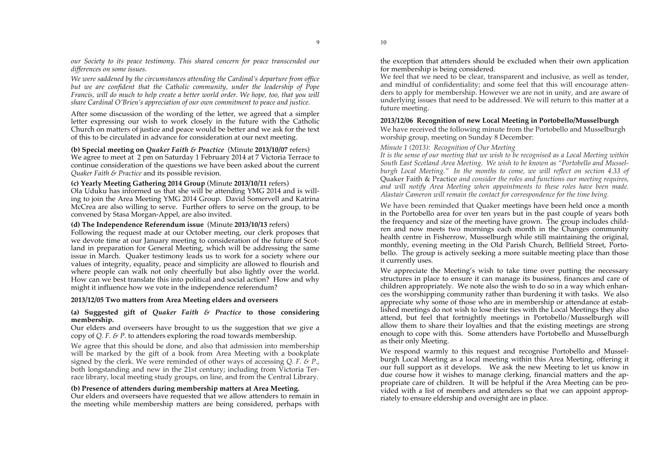9

*our Society to its peace testimony. This shared concern for peace transcended our differences on some issues.* 

*We were saddened by the circumstances attending the Cardinal's departure from office but we are confident that the Catholic community, under the leadership of Pope Francis, will do much to help create a better world order. We hope, too, that you will share Cardinal O'Brien's appreciation of our own commitment to peace and justice.*

After some discussion of the wording of the letter, we agreed that a simpler letter expressing our wish to work closely in the future with the Catholic Church on matters of justice and peace would be better and we ask for the text of this to be circulated in advance for consideration at our next meeting.

#### **(b) Special meeting on** *Quaker Faith & Practice*(Minute **2013/10/07** refers) We agree to meet at 2 pm on Saturday 1 February 2014 at 7 Victoria Terrace to continue consideration of the questions we have been asked about the current *Quaker Faith & Practice* and its possible revision.

#### **(c) Yearly Meeting Gathering 2014 Group** (Minute **2013/10/11** refers) Ola Uduku has informed us that she will be attending YMG 2014 and is willing to join the Area Meeting YMG 2014 Group. David Somervell and Katrina McCrea are also willing to serve. Further offers to serve on the group, to be convened by Stasa Morgan-Appel, are also invited.

#### **(d) The Independence Referendum issue** (Minute **2013/10/13** refers)

Following the request made at our October meeting, our clerk proposes that we devote time at our January meeting to consideration of the future of Scotland in preparation for General Meeting, which will be addressing the same issue in March. Quaker testimony leads us to work for a society where our values of integrity, equality, peace and simplicity are allowed to flourish and where people can walk not only cheerfully but also lightly over the world. How can we best translate this into political and social action? How and why might it influence how we vote in the independence referendum?

#### **2013/12/05 Two matters from Area Meeting elders and overseers**

#### **(a) Suggested gift of** *Quaker Faith & Practice* **to those considering membership.**

Our elders and overseers have brought to us the suggestion that we give a copy of *Q. F. & P.* to attenders exploring the road towards membership.

We agree that this should be done, and also that admission into membership will be marked by the gift of a book from Area Meeting with a bookplate signed by the clerk. We were reminded of other ways of accessing *Q. F. & P*., both longstanding and new in the 21st century; including from Victoria Terrace library, local meeting study groups, on line, and from the Central Library.

#### **(b) Presence of attenders during membership matters at Area Meeting.**

Our elders and overseers have requested that we allow attenders to remain in the meeting while membership matters are being considered, perhaps with the exception that attenders should be excluded when their own application for membership is being considered.

We feel that we need to be clear, transparent and inclusive, as well as tender, and mindful of confidentiality; and some feel that this will encourage attenders to apply for membership. However we are not in unity, and are aware of underlying issues that need to be addressed. We will return to this matter at a future meeting.

#### **2013/12/06 Recognition of new Local Meeting in Portobello/Musselburgh**

We have received the following minute from the Portobello and Musselburgh worship group, meeting on Sunday 8 December:

#### *Minute 1 (2013): Recognition of Our Meeting*

*It is the sense of our meeting that we wish to be recognised as a Local Meeting within South East Scotland Area Meeting. We wish to be known as "Portobello and Musselburgh Local Meeting." In the months to come, we will reflect on section 4.33 of*  Quaker Faith & Practice *and consider the roles and functions our meeting requires, and will notify Area Meeting when appointments to these roles have been made. Alastair Cameron will remain the contact for correspondence for the time being.*

We have been reminded that Quaker meetings have been held once a month in the Portobello area for over ten years but in the past couple of years both the frequency and size of the meeting have grown. The group includes children and now meets two mornings each month in the Changes community health centre in Fisherrow, Musselburgh while still maintaining the original, monthly, evening meeting in the Old Parish Church, Bellfield Street, Portobello. The group is actively seeking a more suitable meeting place than those it currently uses.

We appreciate the Meeting's wish to take time over putting the necessary structures in place to ensure it can manage its business, finances and care of children appropriately. We note also the wish to do so in a way which enhances the worshipping community rather than burdening it with tasks. We also appreciate why some of those who are in membership or attendance at established meetings do not wish to lose their ties with the Local Meetings they also attend, but feel that fortnightly meetings in Portobello/Musselburgh will allow them to share their loyalties and that the existing meetings are strong enough to cope with this. Some attenders have Portobello and Musselburgh as their only Meeting.

We respond warmly to this request and recognise Portobello and Musselburgh Local Meeting as a local meeting within this Area Meeting, offering it our full support as it develops. We ask the new Meeting to let us know in due course how it wishes to manage clerking, financial matters and the appropriate care of children. It will be helpful if the Area Meeting can be provided with a list of members and attenders so that we can appoint appropriately to ensure eldership and oversight are in place.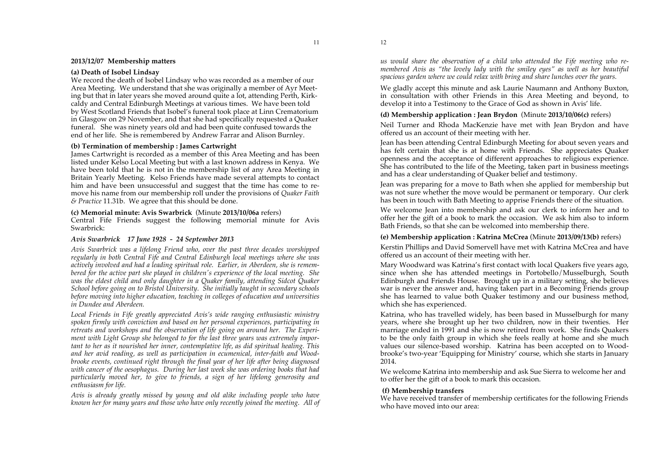#### **2013/12/07 Membership matters**

#### **(a) Death of Isobel Lindsay**

We record the death of Isobel Lindsay who was recorded as a member of our Area Meeting. We understand that she was originally a member of Ayr Meeting but that in later years she moved around quite a lot, attending Perth, Kirkcaldy and Central Edinburgh Meetings at various times. We have been told by West Scotland Friends that Isobel's funeral took place at Linn Crematorium in Glasgow on 29 November, and that she had specifically requested a Quaker funeral. She was ninety years old and had been quite confused towards the end of her life. She is remembered by Andrew Farrar and Alison Burnley.

#### **(b) Termination of membership : James Cartwright**

James Cartwright is recorded as a member of this Area Meeting and has been listed under Kelso Local Meeting but with a last known address in Kenya. We have been told that he is not in the membership list of any Area Meeting in Britain Yearly Meeting. Kelso Friends have made several attempts to contact him and have been unsuccessful and suggest that the time has come to remove his name from our membership roll under the provisions of *Quaker Faith & Practice* 11.31b. We agree that this should be done.

#### **(c) Memorial minute: Avis Swarbrick** (Minute **2013/10/06a** refers)

Central Fife Friends suggest the following memorial minute for Avis Swarbrick:

#### *Avis Swarbrick 17 June 1928 - 24 September 2013*

*Avis Swarbrick was a lifelong Friend who, over the past three decades worshipped regularly in both Central Fife and Central Edinburgh local meetings where she was actively involved and had a leading spiritual role. Earlier, in Aberdeen, she is remembered for the active part she played in children's experience of the local meeting. She was the eldest child and only daughter in a Quaker family, attending Sidcot Quaker School before going on to Bristol University. She initially taught in secondary schools before moving into higher education, teaching in colleges of education and universities in Dundee and Aberdeen.*

*Local Friends in Fife greatly appreciated Avis's wide ranging enthusiastic ministry spoken firmly with conviction and based on her personal experiences, participating in retreats and workshops and the observation of life going on around her. The Experiment with Light Group she belonged to for the last three years was extremely important to her as it nourished her inner, contemplative life, as did spiritual healing. This and her avid reading, as well as participation in ecumenical, inter-faith and Woodbrooke events, continued right through the final year of her life after being diagnosed with cancer of the oesophagus. During her last week she was ordering books that had particularly moved her, to give to friends, a sign of her lifelong generosity and enthusiasm for life.*

*Avis is already greatly missed by young and old alike including people who have known her for many years and those who have only recently joined the meeting. All of* 

*us would share the observation of a child who attended the Fife meeting who remembered Avis as "the lovely lady with the smiley eyes" as well as her beautiful spacious garden where we could relax with bring and share lunches over the years.*

We gladly accept this minute and ask Laurie Naumann and Anthony Buxton, in consultation with other Friends in this Area Meeting and beyond, to develop it into a Testimony to the Grace of God as shown in Avis' life.

#### **(d) Membership application : Jean Brydon** (Minute **2013/10/06(c)** refers)

Neil Turner and Rhoda MacKenzie have met with Jean Brydon and have offered us an account of their meeting with her.

Jean has been attending Central Edinburgh Meeting for about seven years and has felt certain that she is at home with Friends. She appreciates Quaker openness and the acceptance of different approaches to religious experience. She has contributed to the life of the Meeting, taken part in business meetings and has a clear understanding of Quaker belief and testimony.

Jean was preparing for a move to Bath when she applied for membership but was not sure whether the move would be permanent or temporary. Our clerk has been in touch with Bath Meeting to apprise Friends there of the situation.

We welcome Jean into membership and ask our clerk to inform her and to offer her the gift of a book to mark the occasion. We ask him also to inform Bath Friends, so that she can be welcomed into membership there.

#### **(e) Membership application : Katrina McCrea** (Minute **2013/09/13(b)** refers)

Kerstin Phillips and David Somervell have met with Katrina McCrea and have offered us an account of their meeting with her.

Mary Woodward was Katrina's first contact with local Quakers five years ago, since when she has attended meetings in Portobello/Musselburgh, South Edinburgh and Friends House. Brought up in a military setting, she believes war is never the answer and, having taken part in a Becoming Friends group she has learned to value both Quaker testimony and our business method, which she has experienced.

Katrina, who has travelled widely, has been based in Musselburgh for many years, where she brought up her two children, now in their twenties. Her marriage ended in 1991 and she is now retired from work. She finds Quakers to be the only faith group in which she feels really at home and she much values our silence-based worship. Katrina has been accepted on to Woodbrooke's two-year 'Equipping for Ministry' course, which she starts in January 2014.

We welcome Katrina into membership and ask Sue Sierra to welcome her and to offer her the gift of a book to mark this occasion.

#### **(f) Membership transfers**

We have received transfer of membership certificates for the following Friends who have moved into our area:

12

11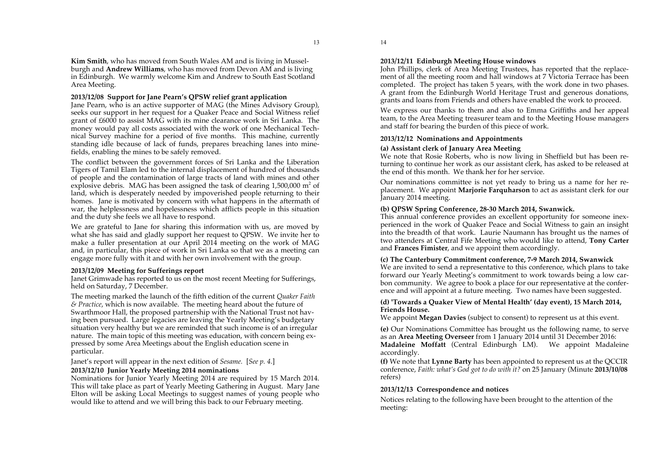#### **2013/12/08 Support for Jane Pearn's QPSW relief grant application**

Jane Pearn, who is an active supporter of MAG (the Mines Advisory Group), seeks our support in her request for a Quaker Peace and Social Witness relief grant of £6000 to assist MAG with its mine clearance work in Sri Lanka. The money would pay all costs associated with the work of one Mechanical Technical Survey machine for a period of five months. This machine, currently standing idle because of lack of funds, prepares breaching lanes into minefields, enabling the mines to be safely removed.

The conflict between the government forces of Sri Lanka and the Liberation Tigers of Tamil Elam led to the internal displacement of hundred of thousands of people and the contamination of large tracts of land with mines and other explosive debris. MAG has been assigned the task of clearing  $1,500,000$  m<sup>2</sup> of land, which is desperately needed by impoverished people returning to their homes. Jane is motivated by concern with what happens in the aftermath of war, the helplessness and hopelessness which afflicts people in this situation and the duty she feels we all have to respond.

We are grateful to Jane for sharing this information with us, are moved by what she has said and gladly support her request to QPSW. We invite her to make a fuller presentation at our April 2014 meeting on the work of MAG and, in particular, this piece of work in Sri Lanka so that we as a meeting can engage more fully with it and with her own involvement with the group.

#### **2013/12/09 Meeting for Sufferings report**

Area Meeting.

Janet Grimwade has reported to us on the most recent Meeting for Sufferings, held on Saturday, 7 December.

The meeting marked the launch of the fifth edition of the current *Quaker Faith & Practice*, which is now available. The meeting heard about the future of Swarthmoor Hall, the proposed partnership with the National Trust not having been pursued. Large legacies are leaving the Yearly Meeting's budgetary situation very healthy but we are reminded that such income is of an irregular nature. The main topic of this meeting was education, with concern being expressed by some Area Meetings about the English education scene in particular.

Janet's report will appear in the next edition of *Sesame.* [*See p. 4.*]

#### **2013/12/10 Junior Yearly Meeting 2014 nominations**

Nominations for Junior Yearly Meeting 2014 are required by 15 March 2014. This will take place as part of Yearly Meeting Gathering in August. Mary Jane Elton will be asking Local Meetings to suggest names of young people who would like to attend and we will bring this back to our February meeting.

13

#### **2013/12/11 Edinburgh Meeting House windows**

John Phillips, clerk of Area Meeting Trustees, has reported that the replacement of all the meeting room and hall windows at 7 Victoria Terrace has been completed. The project has taken 5 years, with the work done in two phases. A grant from the Edinburgh World Heritage Trust and generous donations, grants and loans from Friends and others have enabled the work to proceed.

We express our thanks to them and also to Emma Griffiths and her appeal team, to the Area Meeting treasurer team and to the Meeting House managers and staff for bearing the burden of this piece of work.

#### **2013/12/12 Nominations and Appointments**

#### **(a) Assistant clerk of January Area Meeting**

We note that Rosie Roberts, who is now living in Sheffield but has been returning to continue her work as our assistant clerk, has asked to be released at the end of this month. We thank her for her service.

Our nominations committee is not yet ready to bring us a name for her replacement. We appoint **Marjorie Farquharson** to act as assistant clerk for our January 2014 meeting.

#### **(b) QPSW Spring Conference, 28-30 March 2014, Swanwick.**

This annual conference provides an excellent opportunity for someone inexperienced in the work of Quaker Peace and Social Witness to gain an insight into the breadth of that work. Laurie Naumann has brought us the names of two attenders at Central Fife Meeting who would like to attend, **Tony Carter** and **Frances Fimister**, and we appoint them accordingly.

#### **(c) The Canterbury Commitment conference, 7-9 March 2014, Swanwick**

We are invited to send a representative to this conference, which plans to take forward our Yearly Meeting's commitment to work towards being a low carbon community. We agree to book a place for our representative at the conference and will appoint at a future meeting. Two names have been suggested.

#### **(d) 'Towards a Quaker View of Mental Health' (day event), 15 March 2014, Friends House.**

We appoint **Megan Davies** (subject to consent) to represent us at this event.

**(e)** Our Nominations Committee has brought us the following name, to serve as an **Area Meeting Overseer** from 1 January 2014 until 31 December 2016: **Madaleine Moffatt** (Central Edinburgh LM). We appoint Madaleine accordingly.

**(f)** We note that **Lynne Barty** has been appointed to represent us at the QCCIR conference, *Faith: what's God got to do with it?* on 25 January (Minute **2013/10/08** refers)

#### **2013/12/13 Correspondence and notices**

Notices relating to the following have been brought to the attention of the meeting: